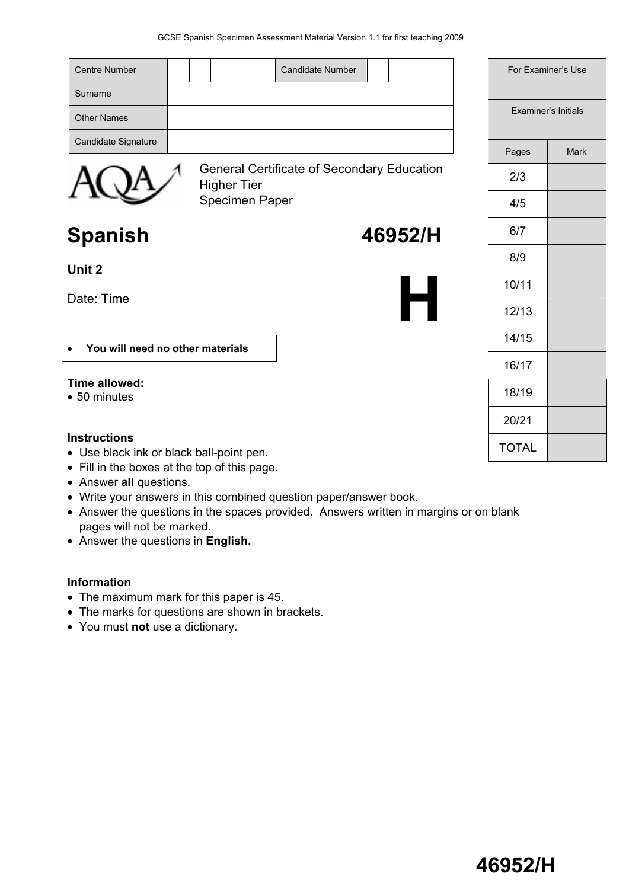| <b>Centre Number</b><br><b>Candidate Number</b>                         |              | For Examiner's Use  |
|-------------------------------------------------------------------------|--------------|---------------------|
| Surname                                                                 |              |                     |
| <b>Other Names</b>                                                      |              | Examiner's Initials |
| Candidate Signature                                                     | Pages        | <b>Mark</b>         |
| <b>General Certificate of Secondary Education</b><br><b>Higher Tier</b> | 2/3          |                     |
| Specimen Paper                                                          | 4/5          |                     |
| 46952/H<br><b>Spanish</b>                                               | 6/7          |                     |
|                                                                         | 8/9          |                     |
| Unit 2                                                                  | 10/11        |                     |
| Date: Time                                                              | 12/13        |                     |
| You will need no other materials<br>$\bullet$                           | 14/15        |                     |
|                                                                         | 16/17        |                     |
| Time allowed:<br>• 50 minutes                                           | 18/19        |                     |
|                                                                         | 20/21        |                     |
| <b>Instructions</b><br>• Use black ink or black ball-point pen.         | <b>TOTAL</b> |                     |

- Fill in the boxes at the top of this page.
- Answer **all** questions.
- Write your answers in this combined question paper/answer book.
- Answer the questions in the spaces provided. Answers written in margins or on blank pages will not be marked.
- Answer the questions in **English.**

#### **Information**

- The maximum mark for this paper is 45.
- The marks for questions are shown in brackets.
- You must **not** use a dictionary.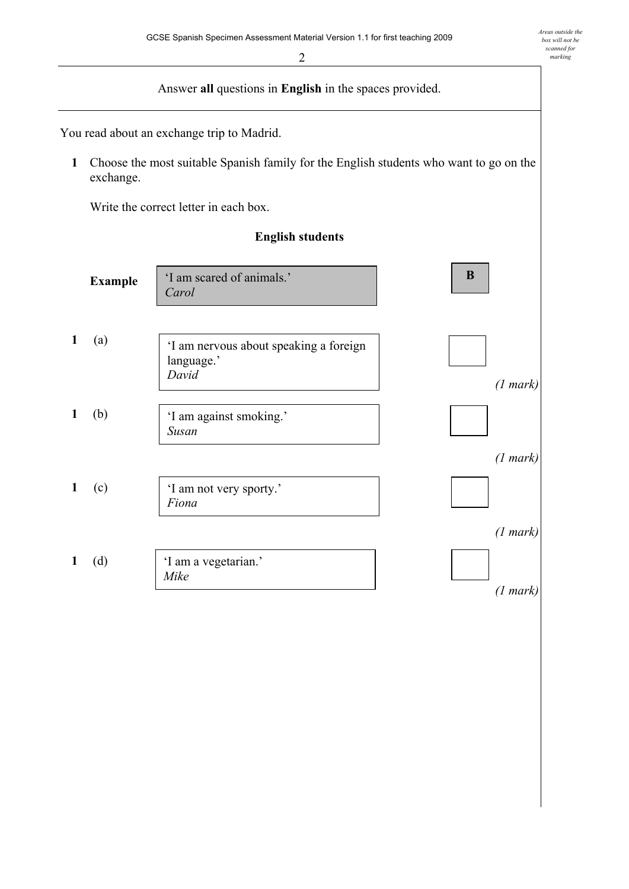Answer **all** questions in **English** in the spaces provided. You read about an exchange trip to Madrid. **1** Choose the most suitable Spanish family for the English students who want to go on the exchange. Write the correct letter in each box. **English students Example 1** (a) *(1 mark)*  **1** (b) *(1 mark)*  **1** (c) *(1 mark)*  **1** (d) *(1 mark)*  'I am scared of animals.' *Carol*  **B** ëI am nervous about speaking a foreign language.' *David* 'I am against smoking.' *Susan*  'I am not very sporty.' *Fiona*  'I am a vegetarian.' *Mike*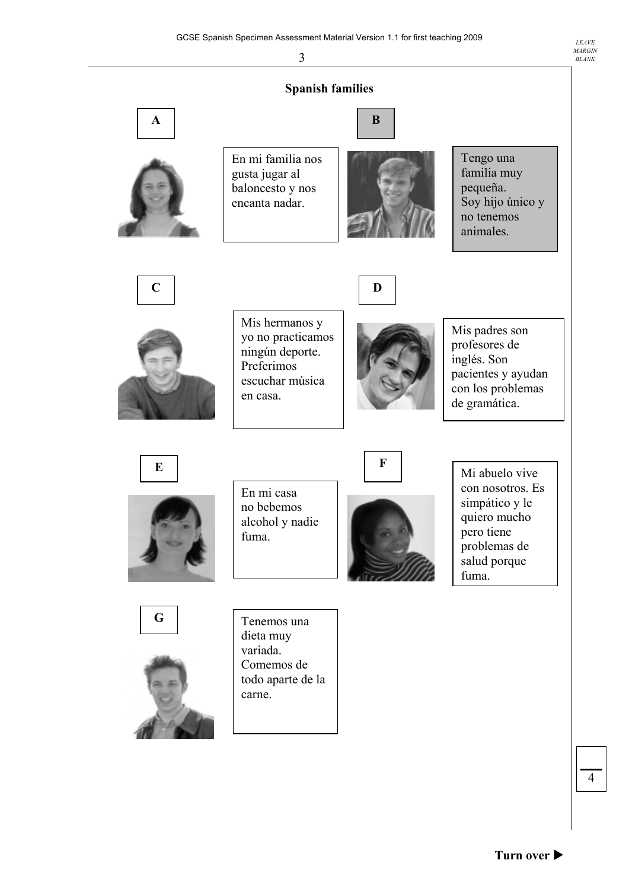**Spanish families** En mi familia nos gusta jugar al baloncesto y nos encanta nadar. Tengo una familia muy pequeña. Soy hijo único y no tenemos animales. **A C E G D F B**  Mis hermanos y yo no practicamos ningún deporte. Preferimos escuchar música en casa. Mis padres son profesores de inglés. Son pacientes y ayudan con los problemas de gramática. En mi casa no bebemos alcohol y nadie fuma. Mi abuelo vive con nosotros. Es simpático y le quiero mucho pero tiene problemas de salud porque fuma. Tenemos una dieta muy variada. Comemos de todo aparte de la carne.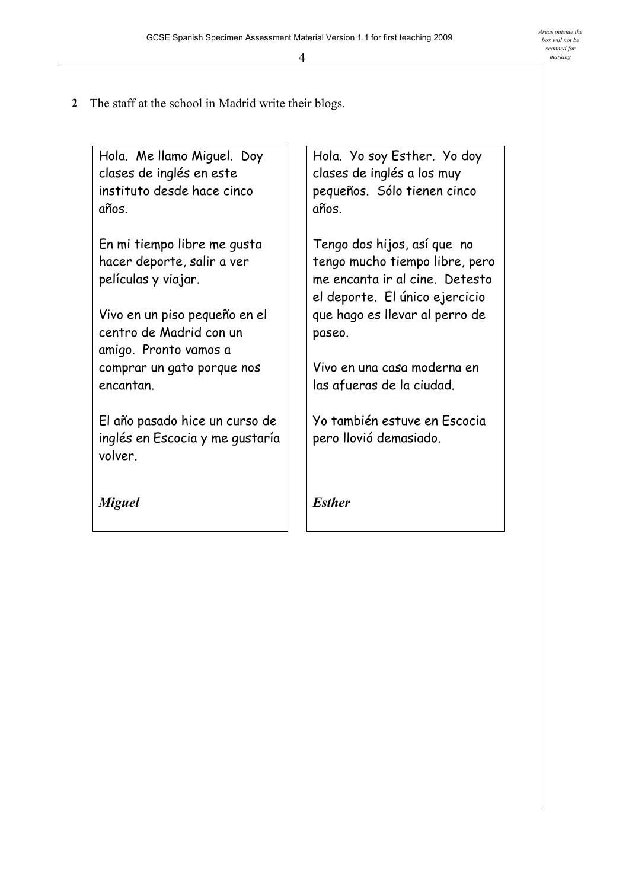**2** The staff at the school in Madrid write their blogs.

Hola. Me llamo Miguel. Doy clases de inglés en este instituto desde hace cinco años.

En mi tiempo libre me gusta hacer deporte, salir a ver películas y viajar.

Vivo en un piso pequeño en el centro de Madrid con un amigo. Pronto vamos a comprar un gato porque nos encantan.

El año pasado hice un curso de inglés en Escocia y me gustaría volver.

*Miguel* 

Hola. Yo soy Esther. Yo doy clases de inglés a los muy pequeños. Sólo tienen cinco años.

Tengo dos hijos, así que no tengo mucho tiempo libre, pero me encanta ir al cine. Detesto el deporte. El único ejercicio que hago es llevar al perro de paseo.

Vivo en una casa moderna en las afueras de la ciudad.

Yo también estuve en Escocia pero llovió demasiado.

*Esther*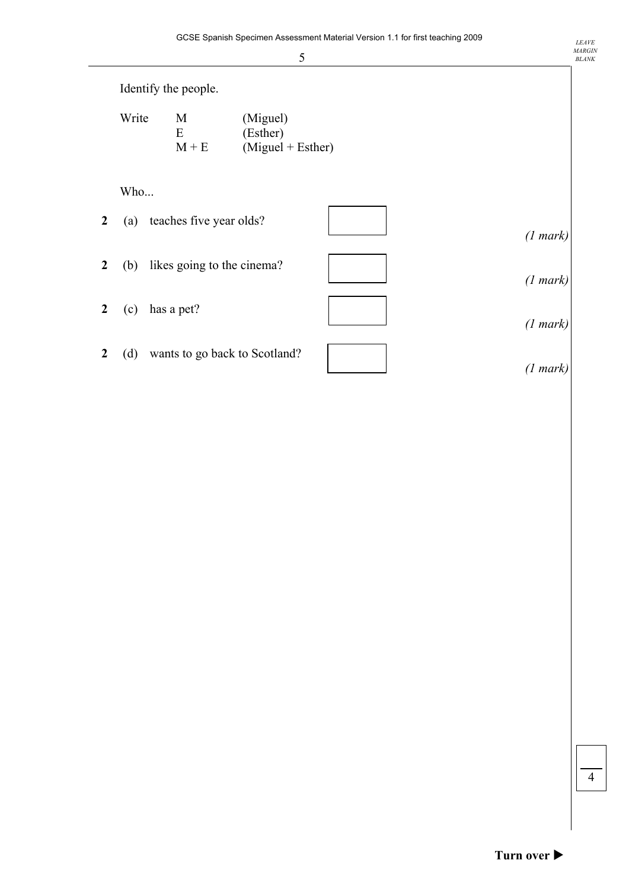|                  | 5                                                                         |          |
|------------------|---------------------------------------------------------------------------|----------|
|                  | Identify the people.                                                      |          |
|                  | Write<br>M<br>(Miguel)<br>E<br>(Esther)<br>$M + E$<br>$(Miguel + Esther)$ |          |
|                  | Who                                                                       |          |
| $\overline{2}$   | teaches five year olds?<br>(a)                                            | (1 mark) |
| $\overline{2}$   | likes going to the cinema?<br>(b)                                         | (1 mark) |
| $\overline{2}$   | has a pet?<br>(c)                                                         | (1 mark) |
| $\boldsymbol{2}$ | wants to go back to Scotland?<br>(d)                                      | (1 mark) |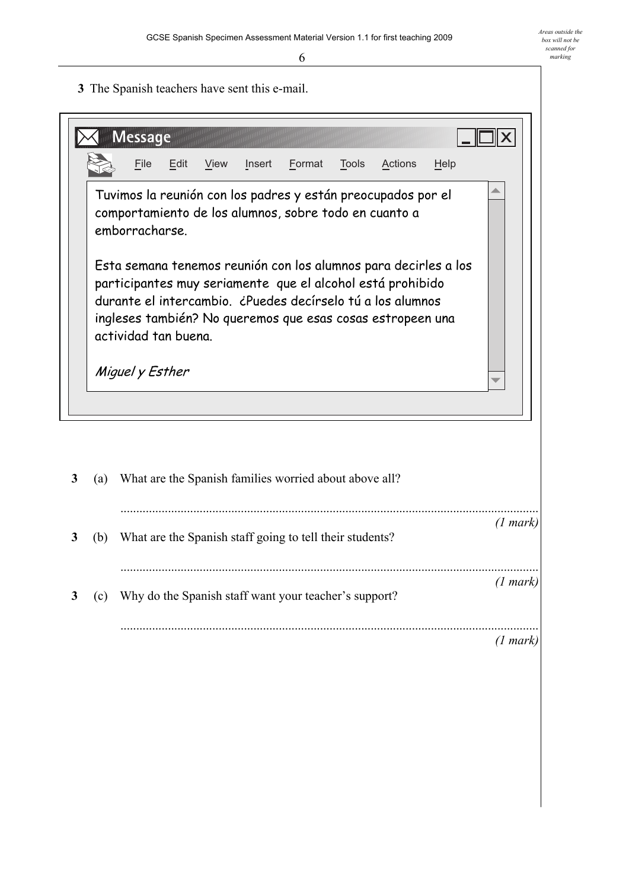**3** The Spanish teachers have sent this e-mail.



| 3 | (a) | What are the Spanish families worried about above all?   |          |
|---|-----|----------------------------------------------------------|----------|
| 3 | (b) | What are the Spanish staff going to tell their students? | (1 mark) |
|   | (c) | Why do the Spanish staff want your teacher's support?    | (1 mark) |
|   |     |                                                          | (1 mark) |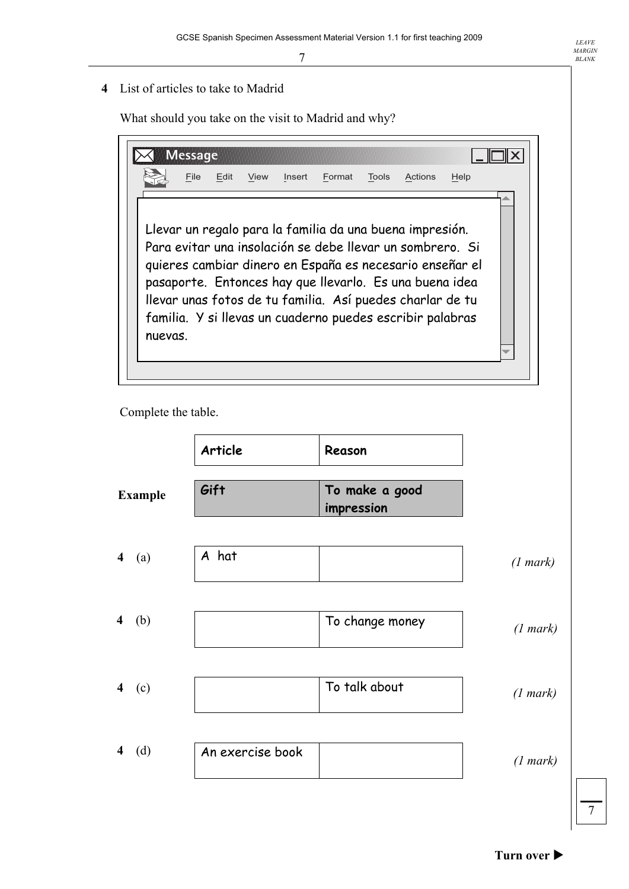**4** List of articles to take to Madrid

What should you take on the visit to Madrid and why?

|         | <b>Message</b> |      |      |        |        |              |                                                                                                                                                                                                                                                                                                                                                                        |      |  |
|---------|----------------|------|------|--------|--------|--------------|------------------------------------------------------------------------------------------------------------------------------------------------------------------------------------------------------------------------------------------------------------------------------------------------------------------------------------------------------------------------|------|--|
|         | File           | Edit | View | Insert | Format | <b>Tools</b> | Actions                                                                                                                                                                                                                                                                                                                                                                | Help |  |
| nuevas. |                |      |      |        |        |              | Llevar un regalo para la familia da una buena impresión.<br>Para evitar una insolación se debe llevar un sombrero. Si<br>quieres cambiar dinero en España es necesario enseñar el<br>pasaporte. Entonces hay que llevarlo. Es una buena idea<br>llevar unas fotos de tu familia. Así puedes charlar de tu<br>familia. Y si llevas un cuaderno puedes escribir palabras |      |  |

Complete the table.

|                                | Article          | Reason                       |          |
|--------------------------------|------------------|------------------------------|----------|
| <b>Example</b>                 | Gift             | To make a good<br>impression |          |
| $4$ (a)                        | A hat            |                              | (1 mark) |
| $\overline{\mathbf{4}}$<br>(b) |                  | To change money              | (1 mark) |
| $4$ (c)                        |                  | To talk about                | (1 mark) |
| (d)<br>$\overline{\mathbf{4}}$ | An exercise book |                              | (1 mark) |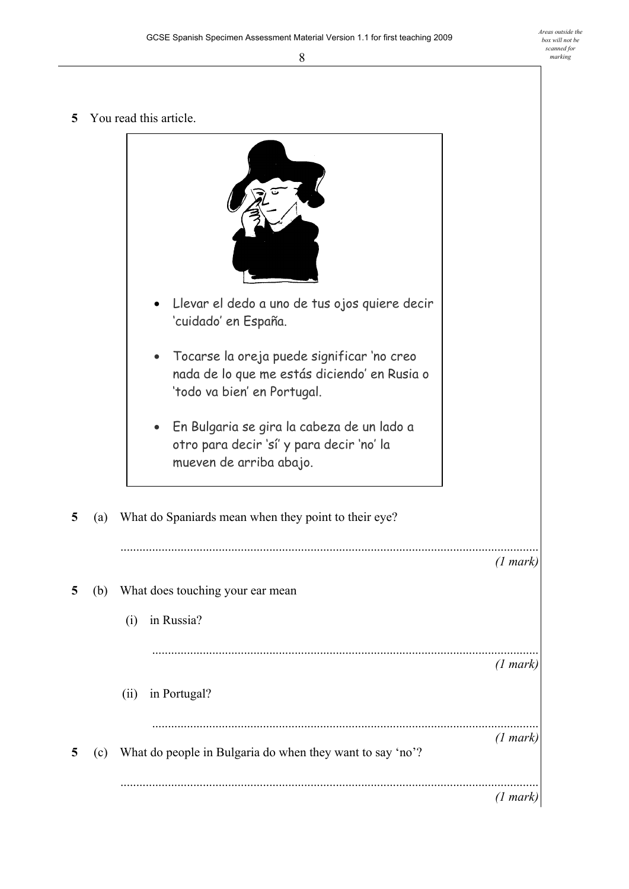**5** You read this article.

|   |     | Llevar el dedo a uno de tus ojos quiere decir<br>'cuidado' en España.<br>Tocarse la oreja puede significar 'no creo<br>$\bullet$<br>nada de lo que me estás diciendo' en Rusia o<br>'todo va bien' en Portugal.<br>En Bulgaria se gira la cabeza de un lado a<br>otro para decir 'sí' y para decir 'no' la<br>mueven de arriba abajo. |                    |
|---|-----|---------------------------------------------------------------------------------------------------------------------------------------------------------------------------------------------------------------------------------------------------------------------------------------------------------------------------------------|--------------------|
| 5 | (a) | What do Spaniards mean when they point to their eye?                                                                                                                                                                                                                                                                                  |                    |
|   |     |                                                                                                                                                                                                                                                                                                                                       | $(1 \text{ mark})$ |
| 5 | (b) | What does touching your ear mean                                                                                                                                                                                                                                                                                                      |                    |
|   |     | in Russia?<br>(i)                                                                                                                                                                                                                                                                                                                     |                    |
|   |     |                                                                                                                                                                                                                                                                                                                                       | (1 mark)           |
|   |     | in Portugal?<br>(ii)                                                                                                                                                                                                                                                                                                                  |                    |
| 5 | (c) | What do people in Bulgaria do when they want to say 'no'?                                                                                                                                                                                                                                                                             | (1 mark)           |
|   |     |                                                                                                                                                                                                                                                                                                                                       | (1 mark)           |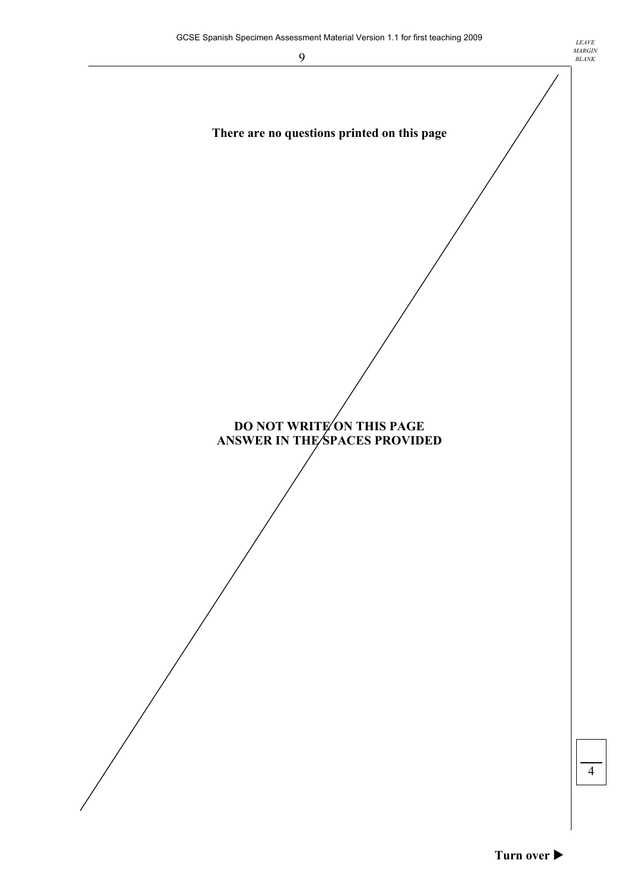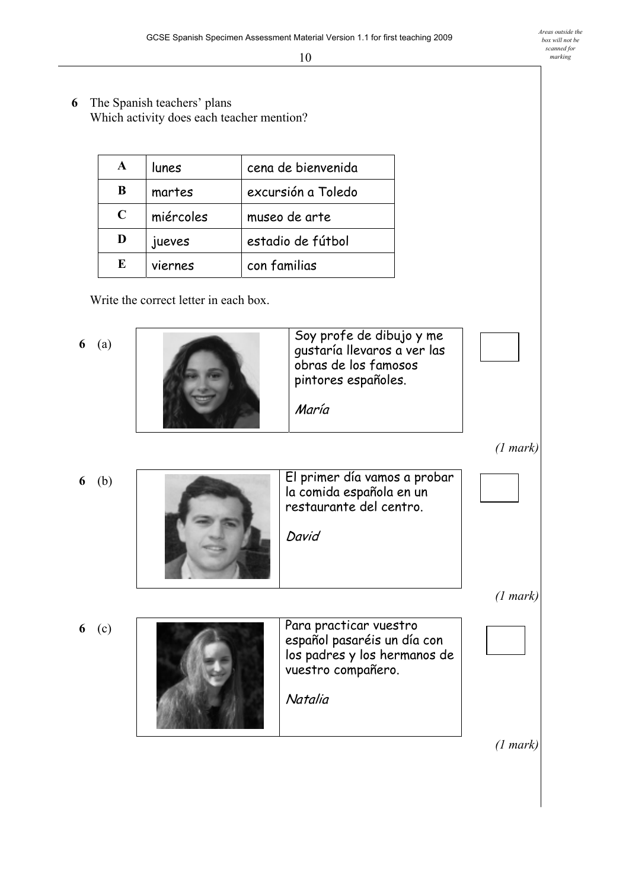**6** The Spanish teachers' plans Which activity does each teacher mention?

|             | lunes     | cena de bienvenida |
|-------------|-----------|--------------------|
| B           | martes    | excursión a Toledo |
| $\mathbf C$ | miércoles | museo de arte      |
| D           | jueves    | estadio de fútbol  |
| E           | viernes   | con familias       |

Write the correct letter in each box.

**6** (a)



**6** (b)

**6** (c)



restaurante del centro. David Para practicar vuestro español pasaréis un día con los padres y los hermanos de vuestro compañero. Natalia

la comida española en un

*(1 mark)* 

 *(1 mark)* 

 *(1 mark)*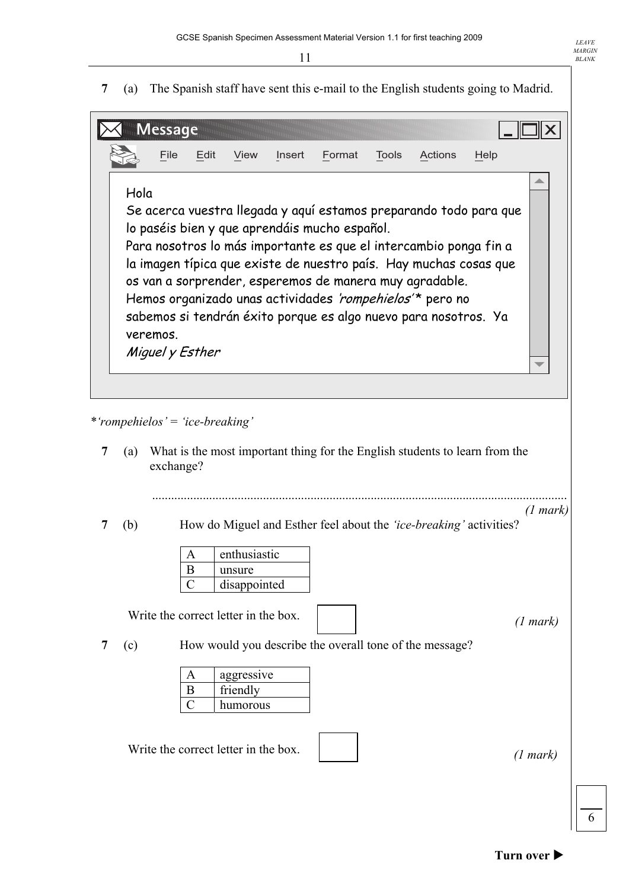**7** (a) The Spanish staff have sent this e-mail to the English students going to Madrid.

|          | <b>Message</b> |                 |      |        |                                               |              |                                                                                                                             |                                                                   |  |
|----------|----------------|-----------------|------|--------|-----------------------------------------------|--------------|-----------------------------------------------------------------------------------------------------------------------------|-------------------------------------------------------------------|--|
|          | File           | Edit            | View | Insert | Format                                        | <b>Tools</b> | Actions                                                                                                                     | Help                                                              |  |
| Hola     |                |                 |      |        |                                               |              |                                                                                                                             |                                                                   |  |
|          |                |                 |      |        |                                               |              |                                                                                                                             | Se acerca vuestra llegada y aquí estamos preparando todo para que |  |
|          |                |                 |      |        | lo paséis bien y que aprendáis mucho español. |              |                                                                                                                             |                                                                   |  |
|          |                |                 |      |        |                                               |              | Para nosotros lo más importante es que el intercambio ponga fin a                                                           | la imagen típica que existe de nuestro país. Hay muchas cosas que |  |
|          |                |                 |      |        |                                               |              | os van a sorprender, esperemos de manera muy agradable.                                                                     |                                                                   |  |
|          |                |                 |      |        |                                               |              | Hemos organizado unas actividades 'rompehielos'* pero no<br>sabemos si tendrán éxito porque es algo nuevo para nosotros. Ya |                                                                   |  |
| veremos. |                |                 |      |        |                                               |              |                                                                                                                             |                                                                   |  |
|          |                | Miguel y Esther |      |        |                                               |              |                                                                                                                             |                                                                   |  |
|          |                |                 |      |        |                                               |              |                                                                                                                             |                                                                   |  |
|          |                |                 |      |        |                                               |              |                                                                                                                             |                                                                   |  |

*\*ërompehielosí* = *ëice-breakingí*

 **7** (a) What is the most important thing for the English students to learn from the exchange?

...................................................................................................................................

*(1 mark)*  **7 (b)** How do Miguel and Esther feel about the *'ice-breaking'* activities?

| enthusiastic |
|--------------|
| unsure       |
| disappointed |

Write the correct letter in the box.

*(1 mark)*

*LEAVE MARGIN BLANK* 

 **7** (c) How would you describe the overall tone of the message?

| А | aggressive |
|---|------------|
|   | friendly   |
|   | humorous   |

Write the correct letter in the box.

*(1 mark)*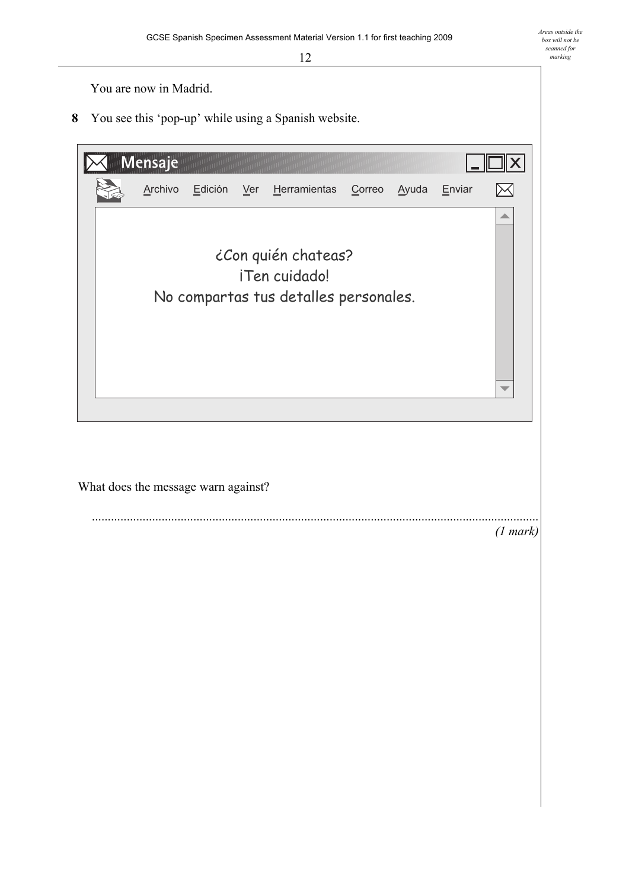You are now in Madrid.

**8** You see this 'pop-up' while using a Spanish website.

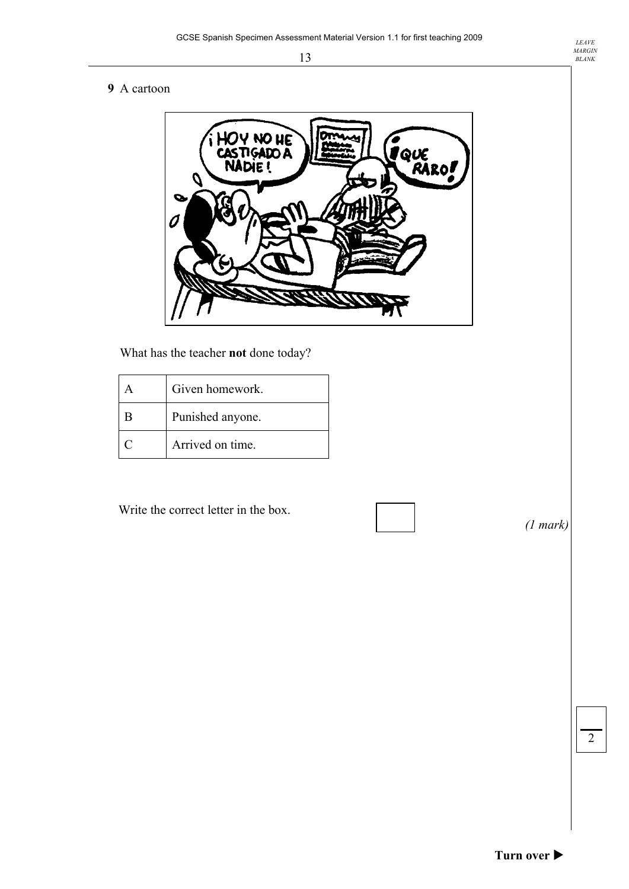#### **9** A cartoon



What has the teacher **not** done today?

|   | Given homework.  |
|---|------------------|
| B | Punished anyone. |
|   | Arrived on time. |

Write the correct letter in the box.

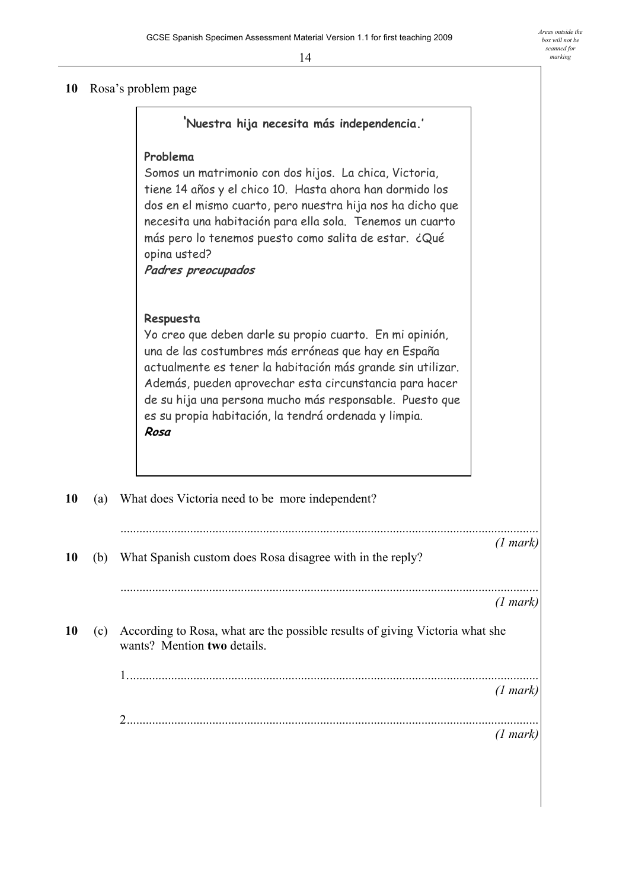*Areas outside the box will not be scanned for marking* 

#### 10 Rosa's problem page

|    |     | 'Nuestra hija necesita más independencia.'                                                                                                                                                                                                                                                                                                                                           |          |
|----|-----|--------------------------------------------------------------------------------------------------------------------------------------------------------------------------------------------------------------------------------------------------------------------------------------------------------------------------------------------------------------------------------------|----------|
|    |     | Problema<br>Somos un matrimonio con dos hijos. La chica, Victoria,<br>tiene 14 años y el chico 10. Hasta ahora han dormido los<br>dos en el mismo cuarto, pero nuestra hija nos ha dicho que<br>necesita una habitación para ella sola. Tenemos un cuarto<br>más pero lo tenemos puesto como salita de estar. ¿Qué<br>opina usted?<br>Padres preocupados                             |          |
|    |     | Respuesta<br>Yo creo que deben darle su propio cuarto. En mi opinión,<br>una de las costumbres más erróneas que hay en España<br>actualmente es tener la habitación más grande sin utilizar.<br>Además, pueden aprovechar esta circunstancia para hacer<br>de su hija una persona mucho más responsable. Puesto que<br>es su propia habitación, la tendrá ordenada y limpia.<br>Rosa |          |
| 10 | (a) | What does Victoria need to be more independent?                                                                                                                                                                                                                                                                                                                                      |          |
| 10 | (b) | What Spanish custom does Rosa disagree with in the reply?                                                                                                                                                                                                                                                                                                                            | (1 mark) |
|    |     |                                                                                                                                                                                                                                                                                                                                                                                      | (1 mark) |
| 10 | (c) | According to Rosa, what are the possible results of giving Victoria what she<br>wants? Mention two details.                                                                                                                                                                                                                                                                          |          |
|    |     |                                                                                                                                                                                                                                                                                                                                                                                      | (1 mark) |
|    |     | 2                                                                                                                                                                                                                                                                                                                                                                                    |          |
|    |     |                                                                                                                                                                                                                                                                                                                                                                                      | (1 mark) |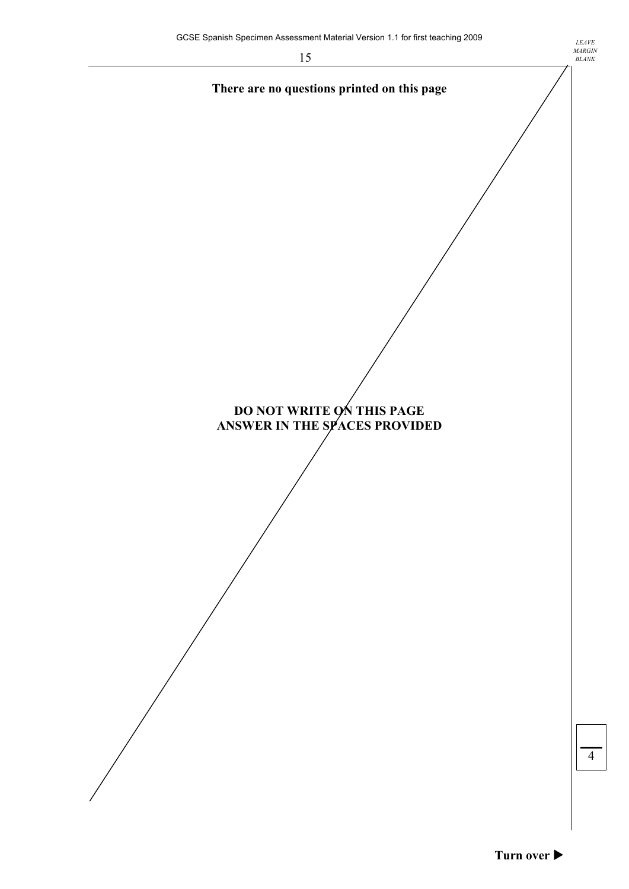**There are no questions printed on this page** 



**DO NOT WRITE ON THIS PAGE ANSWER IN THE SPACES PROVIDED**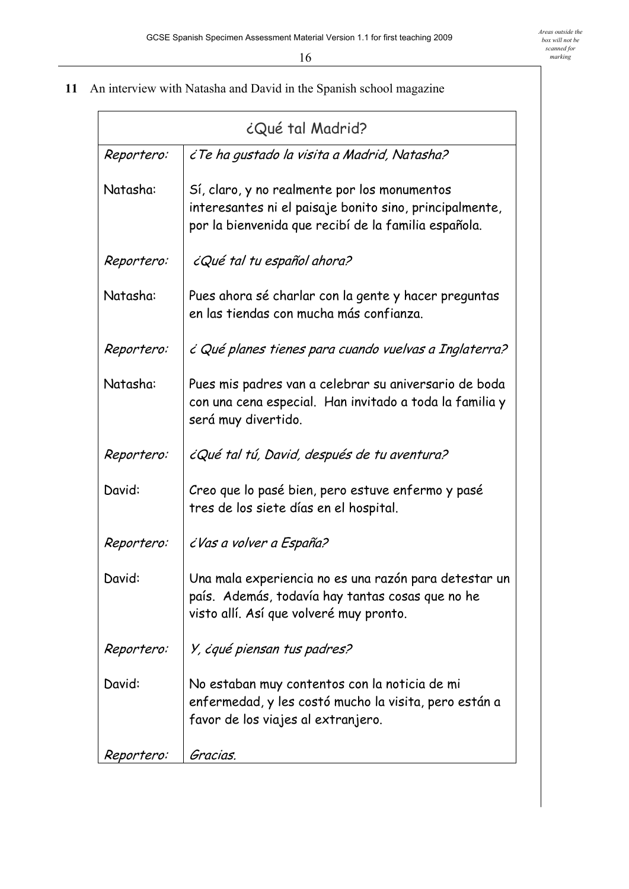**11** An interview with Natasha and David in the Spanish school magazine

| ¿Qué tal Madrid? |                                                                                                                                                                 |  |
|------------------|-----------------------------------------------------------------------------------------------------------------------------------------------------------------|--|
| Reportero:       | ¿Te ha gustado la visita a Madrid, Natasha?                                                                                                                     |  |
| Natasha:         | Sí, claro, y no realmente por los monumentos<br>interesantes ni el paisaje bonito sino, principalmente,<br>por la bienvenida que recibí de la familia española. |  |
| Reportero:       | ¿Qué tal tu español ahora?                                                                                                                                      |  |
| Natasha:         | Pues ahora sé charlar con la gente y hacer preguntas<br>en las tiendas con mucha más confianza.                                                                 |  |
| Reportero:       | ¿ Qué planes tienes para cuando vuelvas a Inglaterra?                                                                                                           |  |
| Natasha:         | Pues mis padres van a celebrar su aniversario de boda<br>con una cena especial. Han invitado a toda la familia y<br>será muy divertido.                         |  |
| Reportero:       | ¿Qué tal tú, David, después de tu aventura?                                                                                                                     |  |
| David:           | Creo que lo pasé bien, pero estuve enfermo y pasé<br>tres de los siete días en el hospital.                                                                     |  |
| Reportero:       | ¿Vas a volver a España?                                                                                                                                         |  |
| David:           | Una mala experiencia no es una razón para detestar un<br>país. Además, todavía hay tantas cosas que no he<br>visto allí. Así que volveré muy pronto.            |  |
| Reportero:       | Y, ėqué piensan tus padres?                                                                                                                                     |  |
| David:           | No estaban muy contentos con la noticia de mi<br>enfermedad, y les costó mucho la visita, pero están a<br>favor de los viajes al extranjero.                    |  |
| Reportero:       | Gracias.                                                                                                                                                        |  |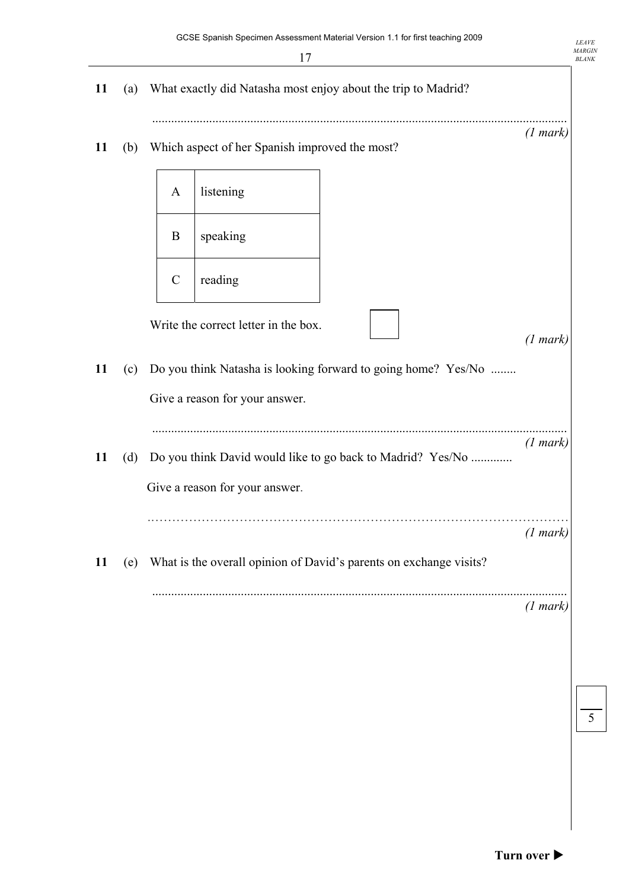|    |     |               | 17                                             |                                                                    |          |
|----|-----|---------------|------------------------------------------------|--------------------------------------------------------------------|----------|
| 11 | (a) |               |                                                | What exactly did Natasha most enjoy about the trip to Madrid?      |          |
| 11 | (b) |               | Which aspect of her Spanish improved the most? |                                                                    | (1 mark) |
|    |     | A             | listening                                      |                                                                    |          |
|    |     | B             | speaking                                       |                                                                    |          |
|    |     | $\mathcal{C}$ | reading                                        |                                                                    |          |
|    |     |               | Write the correct letter in the box.           |                                                                    | (1 mark) |
| 11 | (c) |               | Give a reason for your answer.                 | Do you think Natasha is looking forward to going home? Yes/No      |          |
| 11 | (d) |               |                                                | Do you think David would like to go back to Madrid? Yes/No         | (1 mark) |
|    |     |               | Give a reason for your answer.                 |                                                                    |          |
|    |     |               |                                                |                                                                    | (1 mark) |
| 11 | (e) |               |                                                | What is the overall opinion of David's parents on exchange visits? |          |
|    |     |               |                                                |                                                                    | (1 mark) |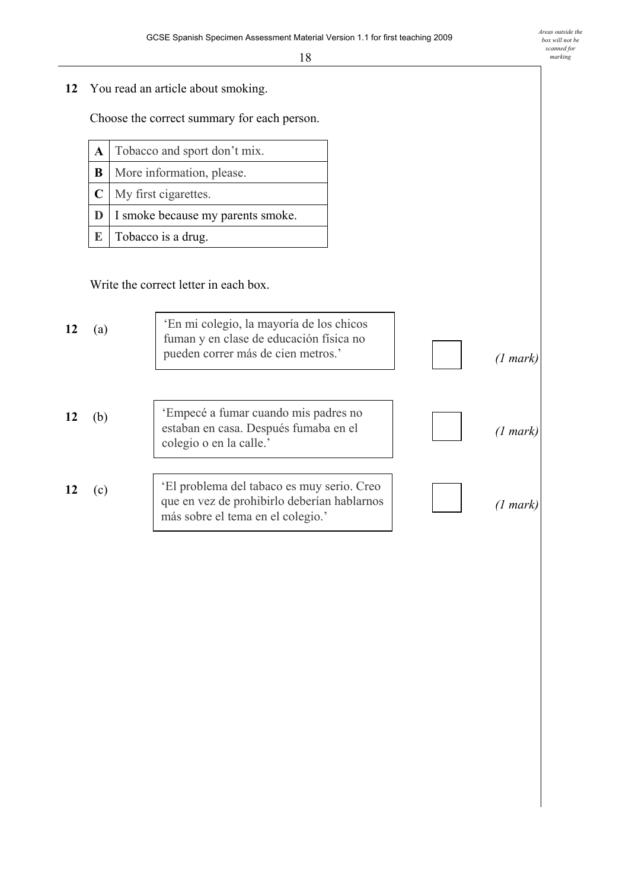**12** You read an article about smoking.

Choose the correct summary for each person.

| $\bf{A}$ Tobacco and sport don't mix.      |  |
|--------------------------------------------|--|
| <b>B</b>   More information, please.       |  |
| $\mathbf{C}$ My first cigarettes.          |  |
| <b>D</b> I smoke because my parents smoke. |  |
| $\mathbb{E}$ Tobacco is a drug.            |  |

Write the correct letter in each box.

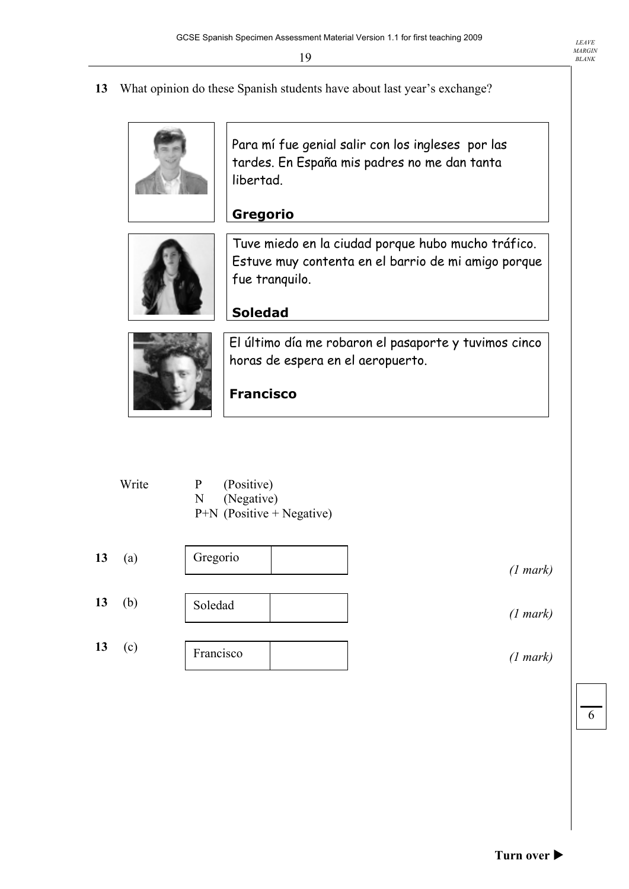**13** What opinion do these Spanish students have about last year's exchange?

Para mí fue genial salir con los ingleses por las tardes. En España mis padres no me dan tanta libertad.



### **Gregorio**  Tuve miedo en la ciudad porque hubo mucho tráfico. Estuve muy contenta en el barrio de mi amigo porque



## **Soledad**

fue tranquilo.

El último día me robaron el pasaporte y tuvimos cinco horas de espera en el aeropuerto.

# **Francisco**

| Write | $\mathbf{P}$ | (Positive)                  |
|-------|--------------|-----------------------------|
|       |              | N (Negative)                |
|       |              | $P+N$ (Positive + Negative) |

| 13 | (a) | Gregorio  | (1 mark) |
|----|-----|-----------|----------|
| 13 | (b) | Soledad   | (1 mark) |
| 13 | (c) | Francisco | (1 mark) |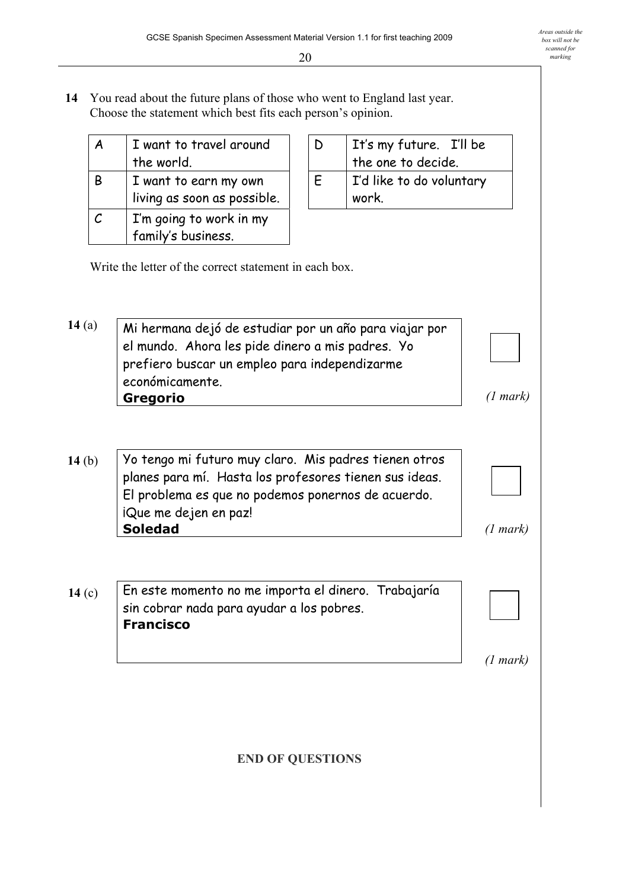**14** You read about the future plans of those who went to England last year. Choose the statement which best fits each person's opinion.

| Α                           | I want to travel around     |
|-----------------------------|-----------------------------|
|                             | the world.                  |
| В                           | I want to earn my own       |
|                             | living as soon as possible. |
| $\mathcal{C}_{\mathcal{C}}$ | I'm going to work in my     |
|                             | family's business.          |

|  |  | It's my future. I'll be<br>the one to decide. |
|--|--|-----------------------------------------------|
|  |  | I'd like to do voluntary<br>work.             |

Write the letter of the correct statement in each box.

Mi hermana dejó de estudiar por un año para viajar por el mundo. Ahora les pide dinero a mis padres. Yo prefiero buscar un empleo para independizarme económicamente. **Gregorio 14** (a)  *(1 mark)* 

- Yo tengo mi futuro muy claro. Mis padres tienen otros planes para mÌ. Hasta los profesores tienen sus ideas. El problema es que no podemos ponernos de acuerdo. iQue me dejen en paz! **Soledad 14** (b)  *(1 mark)*
- En este momento no me importa el dinero. Trabajaría sin cobrar nada para ayudar a los pobres. **Francisco 14** (c)

 *(1 mark)* 

**END OF QUESTIONS**